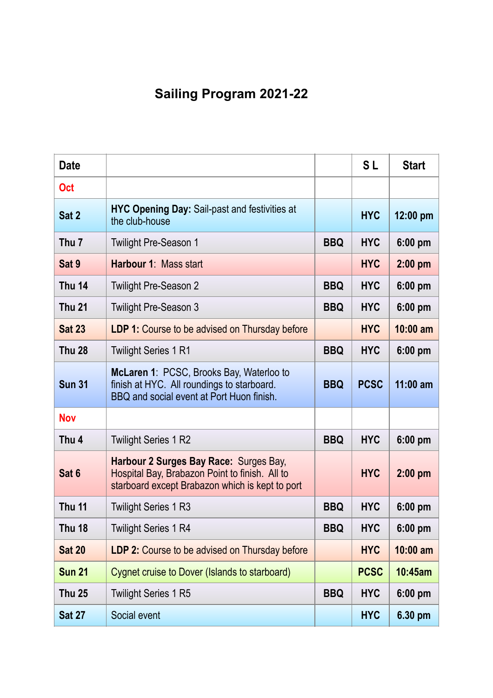## **Sailing Program 2021-22**

| <b>Date</b>      |                                                                                                                                             |            | <b>SL</b>   | <b>Start</b> |
|------------------|---------------------------------------------------------------------------------------------------------------------------------------------|------------|-------------|--------------|
| <b>Oct</b>       |                                                                                                                                             |            |             |              |
| Sat 2            | <b>HYC Opening Day: Sail-past and festivities at</b><br>the club-house                                                                      |            | <b>HYC</b>  | 12:00 pm     |
| Thu <sub>7</sub> | <b>Twilight Pre-Season 1</b>                                                                                                                | <b>BBQ</b> | <b>HYC</b>  | 6:00 pm      |
| Sat 9            | Harbour 1: Mass start                                                                                                                       |            | <b>HYC</b>  | $2:00$ pm    |
| <b>Thu 14</b>    | <b>Twilight Pre-Season 2</b>                                                                                                                | <b>BBQ</b> | <b>HYC</b>  | 6:00 pm      |
| <b>Thu 21</b>    | <b>Twilight Pre-Season 3</b>                                                                                                                | <b>BBQ</b> | <b>HYC</b>  | $6:00$ pm    |
| <b>Sat 23</b>    | <b>LDP 1:</b> Course to be advised on Thursday before                                                                                       |            | <b>HYC</b>  | $10:00$ am   |
| <b>Thu 28</b>    | <b>Twilight Series 1 R1</b>                                                                                                                 | <b>BBQ</b> | <b>HYC</b>  | 6:00 pm      |
| <b>Sun 31</b>    | McLaren 1: PCSC, Brooks Bay, Waterloo to<br>finish at HYC. All roundings to starboard.<br>BBQ and social event at Port Huon finish.         | <b>BBQ</b> | <b>PCSC</b> | $11:00$ am   |
| <b>Nov</b>       |                                                                                                                                             |            |             |              |
| Thu <sub>4</sub> | <b>Twilight Series 1 R2</b>                                                                                                                 | <b>BBQ</b> | <b>HYC</b>  | $6:00$ pm    |
| Sat 6            | Harbour 2 Surges Bay Race: Surges Bay,<br>Hospital Bay, Brabazon Point to finish. All to<br>starboard except Brabazon which is kept to port |            | <b>HYC</b>  | $2:00$ pm    |
| <b>Thu 11</b>    | <b>Twilight Series 1 R3</b>                                                                                                                 | <b>BBQ</b> | <b>HYC</b>  | $6:00$ pm    |
| <b>Thu 18</b>    | <b>Twilight Series 1 R4</b>                                                                                                                 | <b>BBQ</b> | <b>HYC</b>  | 6:00 pm      |
| <b>Sat 20</b>    | <b>LDP 2: Course to be advised on Thursday before</b>                                                                                       |            | <b>HYC</b>  | $10:00$ am   |
| <b>Sun 21</b>    | Cygnet cruise to Dover (Islands to starboard)                                                                                               |            | <b>PCSC</b> | 10:45am      |
| <b>Thu 25</b>    | <b>Twilight Series 1 R5</b>                                                                                                                 | <b>BBQ</b> | <b>HYC</b>  | 6:00 pm      |
| <b>Sat 27</b>    | Social event                                                                                                                                |            | <b>HYC</b>  | 6.30 pm      |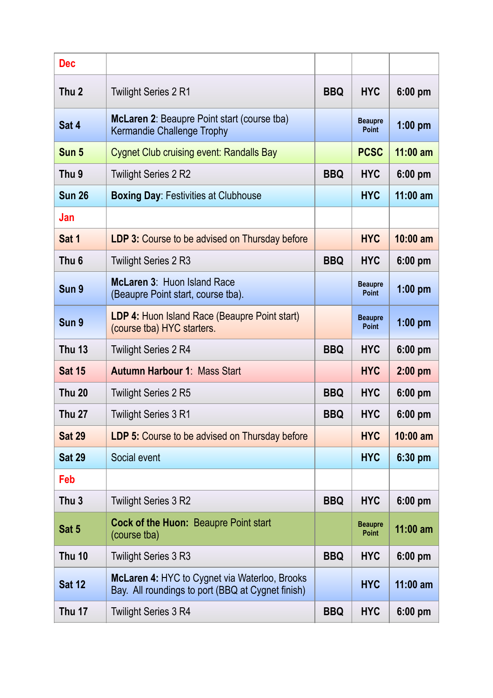| <b>Dec</b>       |                                                                                                           |            |                                |            |  |
|------------------|-----------------------------------------------------------------------------------------------------------|------------|--------------------------------|------------|--|
| Thu <sub>2</sub> | <b>Twilight Series 2 R1</b>                                                                               | <b>BBQ</b> | <b>HYC</b>                     | 6:00 pm    |  |
| Sat 4            | <b>McLaren 2: Beaupre Point start (course tba)</b><br>Kermandie Challenge Trophy                          |            | <b>Beaupre</b><br><b>Point</b> | $1:00$ pm  |  |
| Sun 5            | <b>Cygnet Club cruising event: Randalls Bay</b>                                                           |            | <b>PCSC</b>                    | $11:00$ am |  |
| Thu <sub>9</sub> | <b>Twilight Series 2 R2</b>                                                                               | <b>BBQ</b> | <b>HYC</b>                     | $6:00$ pm  |  |
| <b>Sun 26</b>    | <b>Boxing Day: Festivities at Clubhouse</b>                                                               |            | <b>HYC</b>                     | $11:00$ am |  |
| Jan              |                                                                                                           |            |                                |            |  |
| Sat 1            | <b>LDP 3:</b> Course to be advised on Thursday before                                                     |            | <b>HYC</b>                     | $10:00$ am |  |
| Thu <sub>6</sub> | <b>Twilight Series 2 R3</b>                                                                               | <b>BBQ</b> | <b>HYC</b>                     | $6:00$ pm  |  |
| Sun 9            | McLaren 3: Huon Island Race<br>(Beaupre Point start, course tba).                                         |            | <b>Beaupre</b><br><b>Point</b> | $1:00$ pm  |  |
| Sun 9            | <b>LDP 4: Huon Island Race (Beaupre Point start)</b><br>(course tba) HYC starters.                        |            | <b>Beaupre</b><br><b>Point</b> | $1:00$ pm  |  |
| <b>Thu 13</b>    | <b>Twilight Series 2 R4</b>                                                                               | <b>BBQ</b> | <b>HYC</b>                     | $6:00$ pm  |  |
| <b>Sat 15</b>    | <b>Autumn Harbour 1: Mass Start</b>                                                                       |            | <b>HYC</b>                     | $2:00$ pm  |  |
| <b>Thu 20</b>    | <b>Twilight Series 2 R5</b>                                                                               | <b>BBQ</b> | <b>HYC</b>                     | $6:00$ pm  |  |
| <b>Thu 27</b>    | <b>Twilight Series 3 R1</b>                                                                               | <b>BBQ</b> | <b>HYC</b>                     | $6:00$ pm  |  |
| <b>Sat 29</b>    | <b>LDP 5:</b> Course to be advised on Thursday before                                                     |            | <b>HYC</b>                     | $10:00$ am |  |
| <b>Sat 29</b>    | Social event                                                                                              |            | <b>HYC</b>                     | 6:30 pm    |  |
| Feb              |                                                                                                           |            |                                |            |  |
| Thu <sub>3</sub> | <b>Twilight Series 3 R2</b>                                                                               | <b>BBQ</b> | <b>HYC</b>                     | $6:00$ pm  |  |
| Sat 5            | <b>Cock of the Huon: Beaupre Point start</b><br>(course tba)                                              |            | <b>Beaupre</b><br><b>Point</b> | $11:00$ am |  |
| <b>Thu 10</b>    | <b>Twilight Series 3 R3</b>                                                                               | <b>BBQ</b> | <b>HYC</b>                     | $6:00$ pm  |  |
| <b>Sat 12</b>    | <b>McLaren 4: HYC to Cygnet via Waterloo, Brooks</b><br>Bay. All roundings to port (BBQ at Cygnet finish) |            | <b>HYC</b>                     | $11:00$ am |  |
| <b>Thu 17</b>    | <b>Twilight Series 3 R4</b>                                                                               | <b>BBQ</b> | <b>HYC</b>                     | 6:00 pm    |  |